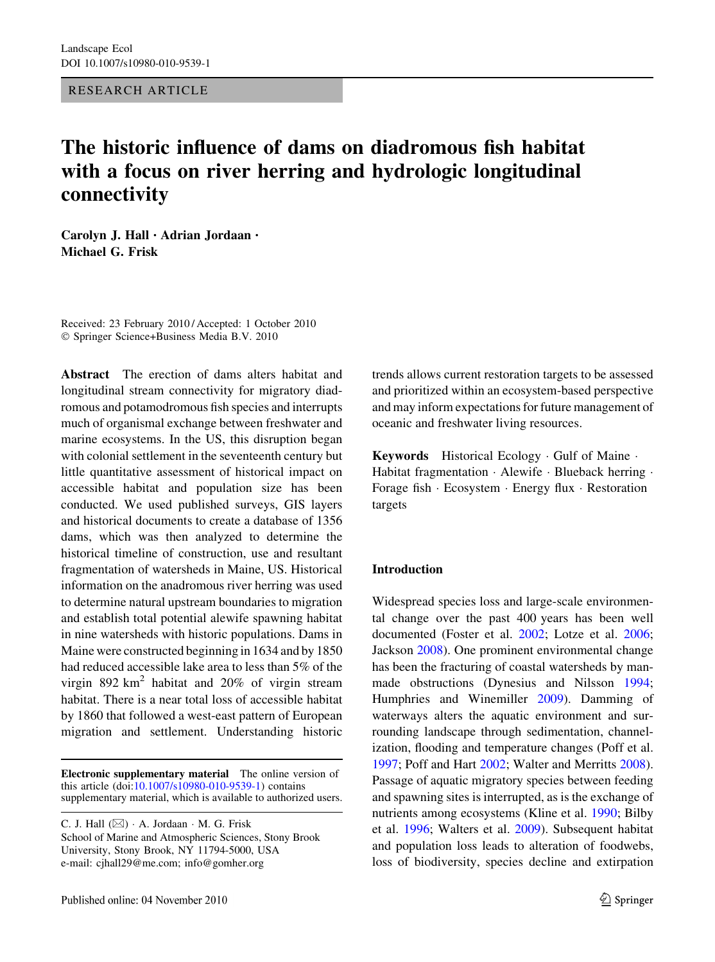RESEARCH ARTICLE

# The historic influence of dams on diadromous fish habitat with a focus on river herring and hydrologic longitudinal connectivity

Carolyn J. Hall • Adrian Jordaan • Michael G. Frisk

Received: 23 February 2010 / Accepted: 1 October 2010 © Springer Science+Business Media B.V. 2010

Abstract The erection of dams alters habitat and longitudinal stream connectivity for migratory diadromous and potamodromous fish species and interrupts much of organismal exchange between freshwater and marine ecosystems. In the US, this disruption began with colonial settlement in the seventeenth century but little quantitative assessment of historical impact on accessible habitat and population size has been conducted. We used published surveys, GIS layers and historical documents to create a database of 1356 dams, which was then analyzed to determine the historical timeline of construction, use and resultant fragmentation of watersheds in Maine, US. Historical information on the anadromous river herring was used to determine natural upstream boundaries to migration and establish total potential alewife spawning habitat in nine watersheds with historic populations. Dams in Maine were constructed beginning in 1634 and by 1850 had reduced accessible lake area to less than 5% of the virgin 892 km<sup>2</sup> habitat and 20% of virgin stream habitat. There is a near total loss of accessible habitat by 1860 that followed a west-east pattern of European migration and settlement. Understanding historic

Electronic supplementary material The online version of this article (doi[:10.1007/s10980-010-9539-1\)](http://dx.doi.org/10.1007/s10980-010-9539-1) contains supplementary material, which is available to authorized users.

C. J. Hall  $(\boxtimes) \cdot A$ . Jordaan  $\cdot$  M. G. Frisk School of Marine and Atmospheric Sciences, Stony Brook University, Stony Brook, NY 11794-5000, USA e-mail: cjhall29@me.com; info@gomher.org

trends allows current restoration targets to be assessed and prioritized within an ecosystem-based perspective and may inform expectations for future management of oceanic and freshwater living resources.

Keywords Historical Ecology - Gulf of Maine - Habitat fragmentation · Alewife · Blueback herring · Forage fish - Ecosystem - Energy flux - Restoration targets

# Introduction

Widespread species loss and large-scale environmental change over the past 400 years has been well documented (Foster et al. [2002;](#page-11-0) Lotze et al. [2006](#page-12-0); Jackson [2008](#page-11-0)). One prominent environmental change has been the fracturing of coastal watersheds by manmade obstructions (Dynesius and Nilsson [1994](#page-11-0); Humphries and Winemiller [2009](#page-11-0)). Damming of waterways alters the aquatic environment and surrounding landscape through sedimentation, channelization, flooding and temperature changes (Poff et al. [1997;](#page-12-0) Poff and Hart [2002](#page-12-0); Walter and Merritts [2008](#page-12-0)). Passage of aquatic migratory species between feeding and spawning sites is interrupted, as is the exchange of nutrients among ecosystems (Kline et al. [1990](#page-11-0); Bilby et al. [1996;](#page-11-0) Walters et al. [2009](#page-12-0)). Subsequent habitat and population loss leads to alteration of foodwebs, loss of biodiversity, species decline and extirpation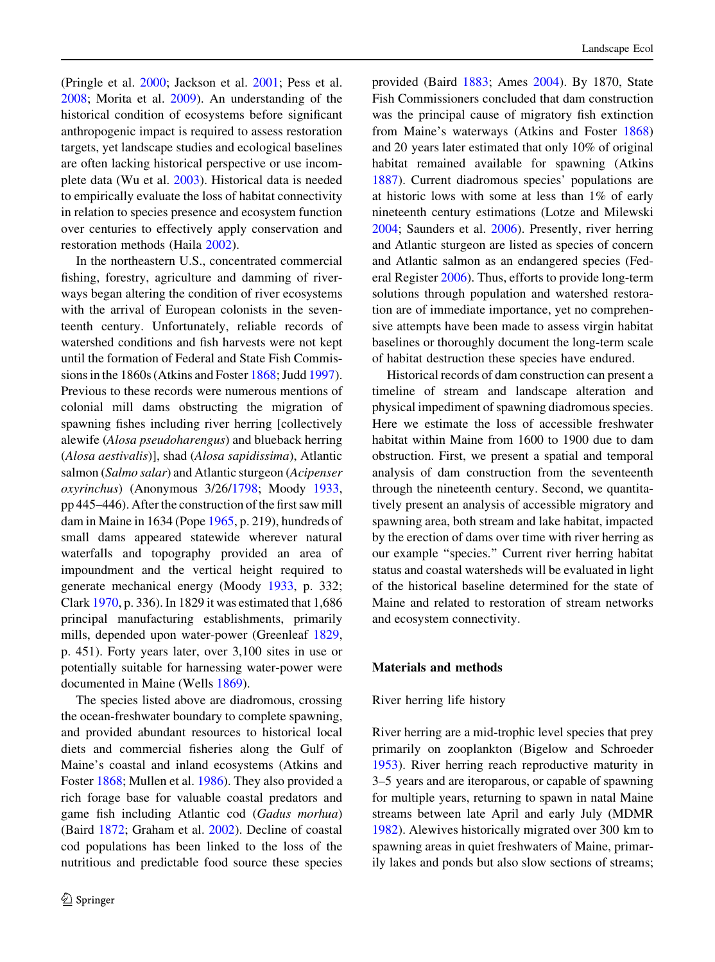(Pringle et al. [2000](#page-12-0); Jackson et al. [2001;](#page-11-0) Pess et al. [2008;](#page-12-0) Morita et al. [2009](#page-12-0)). An understanding of the historical condition of ecosystems before significant anthropogenic impact is required to assess restoration targets, yet landscape studies and ecological baselines are often lacking historical perspective or use incomplete data (Wu et al. [2003\)](#page-12-0). Historical data is needed to empirically evaluate the loss of habitat connectivity in relation to species presence and ecosystem function over centuries to effectively apply conservation and restoration methods (Haila [2002\)](#page-11-0).

In the northeastern U.S., concentrated commercial fishing, forestry, agriculture and damming of riverways began altering the condition of river ecosystems with the arrival of European colonists in the seventeenth century. Unfortunately, reliable records of watershed conditions and fish harvests were not kept until the formation of Federal and State Fish Commissions in the 1860s (Atkins and Foster [1868;](#page-11-0) Judd [1997](#page-11-0)). Previous to these records were numerous mentions of colonial mill dams obstructing the migration of spawning fishes including river herring [collectively alewife (Alosa pseudoharengus) and blueback herring (Alosa aestivalis)], shad (Alosa sapidissima), Atlantic salmon (Salmo salar) and Atlantic sturgeon (Acipenser oxyrinchus) (Anonymous 3/26[/1798](#page-10-0); Moody [1933,](#page-12-0) pp 445–446). After the construction of the first saw mill dam in Maine in 1634 (Pope [1965](#page-12-0), p. 219), hundreds of small dams appeared statewide wherever natural waterfalls and topography provided an area of impoundment and the vertical height required to generate mechanical energy (Moody [1933,](#page-12-0) p. 332; Clark [1970,](#page-11-0) p. 336). In 1829 it was estimated that 1,686 principal manufacturing establishments, primarily mills, depended upon water-power (Greenleaf [1829,](#page-11-0) p. 451). Forty years later, over 3,100 sites in use or potentially suitable for harnessing water-power were documented in Maine (Wells [1869\)](#page-12-0).

The species listed above are diadromous, crossing the ocean-freshwater boundary to complete spawning, and provided abundant resources to historical local diets and commercial fisheries along the Gulf of Maine's coastal and inland ecosystems (Atkins and Foster [1868;](#page-11-0) Mullen et al. [1986](#page-12-0)). They also provided a rich forage base for valuable coastal predators and game fish including Atlantic cod (Gadus morhua) (Baird [1872](#page-11-0); Graham et al. [2002\)](#page-11-0). Decline of coastal cod populations has been linked to the loss of the nutritious and predictable food source these species

provided (Baird [1883](#page-11-0); Ames [2004](#page-10-0)). By 1870, State Fish Commissioners concluded that dam construction was the principal cause of migratory fish extinction from Maine's waterways (Atkins and Foster [1868\)](#page-11-0) and 20 years later estimated that only 10% of original habitat remained available for spawning (Atkins [1887\)](#page-11-0). Current diadromous species' populations are at historic lows with some at less than 1% of early nineteenth century estimations (Lotze and Milewski [2004;](#page-12-0) Saunders et al. [2006\)](#page-12-0). Presently, river herring and Atlantic sturgeon are listed as species of concern and Atlantic salmon as an endangered species (Federal Register [2006\)](#page-11-0). Thus, efforts to provide long-term solutions through population and watershed restoration are of immediate importance, yet no comprehensive attempts have been made to assess virgin habitat baselines or thoroughly document the long-term scale of habitat destruction these species have endured.

Historical records of dam construction can present a timeline of stream and landscape alteration and physical impediment of spawning diadromous species. Here we estimate the loss of accessible freshwater habitat within Maine from 1600 to 1900 due to dam obstruction. First, we present a spatial and temporal analysis of dam construction from the seventeenth through the nineteenth century. Second, we quantitatively present an analysis of accessible migratory and spawning area, both stream and lake habitat, impacted by the erection of dams over time with river herring as our example ''species.'' Current river herring habitat status and coastal watersheds will be evaluated in light of the historical baseline determined for the state of Maine and related to restoration of stream networks and ecosystem connectivity.

## Materials and methods

#### River herring life history

River herring are a mid-trophic level species that prey primarily on zooplankton (Bigelow and Schroeder [1953\)](#page-11-0). River herring reach reproductive maturity in 3–5 years and are iteroparous, or capable of spawning for multiple years, returning to spawn in natal Maine streams between late April and early July (MDMR [1982\)](#page-12-0). Alewives historically migrated over 300 km to spawning areas in quiet freshwaters of Maine, primarily lakes and ponds but also slow sections of streams;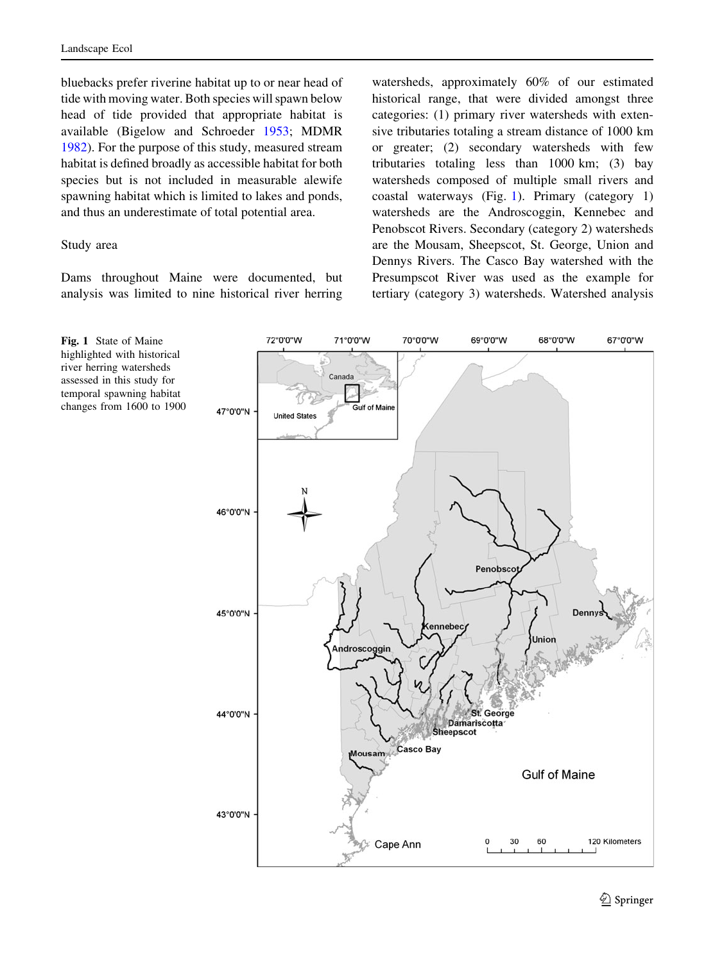bluebacks prefer riverine habitat up to or near head of tide with moving water. Both species will spawn below head of tide provided that appropriate habitat is available (Bigelow and Schroeder [1953](#page-11-0); MDMR [1982\)](#page-12-0). For the purpose of this study, measured stream habitat is defined broadly as accessible habitat for both species but is not included in measurable alewife spawning habitat which is limited to lakes and ponds, and thus an underestimate of total potential area.

## Study area

Dams throughout Maine were documented, but analysis was limited to nine historical river herring watersheds, approximately 60% of our estimated historical range, that were divided amongst three categories: (1) primary river watersheds with extensive tributaries totaling a stream distance of 1000 km or greater; (2) secondary watersheds with few tributaries totaling less than 1000 km; (3) bay watersheds composed of multiple small rivers and coastal waterways (Fig. 1). Primary (category 1) watersheds are the Androscoggin, Kennebec and Penobscot Rivers. Secondary (category 2) watersheds are the Mousam, Sheepscot, St. George, Union and Dennys Rivers. The Casco Bay watershed with the Presumpscot River was used as the example for tertiary (category 3) watersheds. Watershed analysis



Fig. 1 State of Maine highlighted with historical river herring watersheds assessed in this study for temporal spawning habitat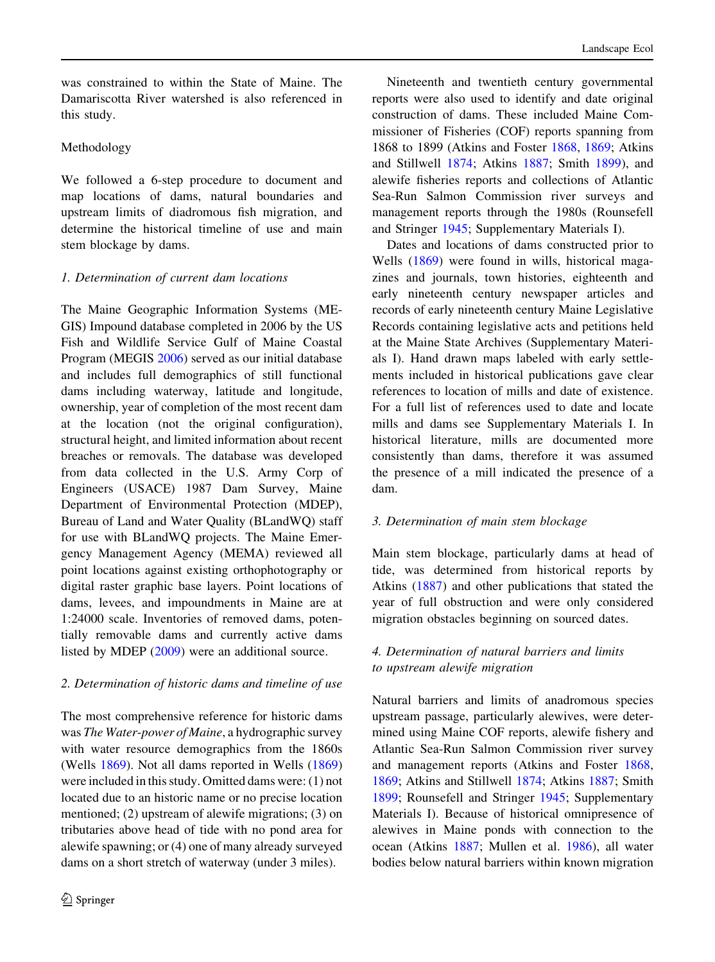was constrained to within the State of Maine. The Damariscotta River watershed is also referenced in this study.

# Methodology

We followed a 6-step procedure to document and map locations of dams, natural boundaries and upstream limits of diadromous fish migration, and determine the historical timeline of use and main stem blockage by dams.

## 1. Determination of current dam locations

The Maine Geographic Information Systems (ME-GIS) Impound database completed in 2006 by the US Fish and Wildlife Service Gulf of Maine Coastal Program (MEGIS [2006](#page-12-0)) served as our initial database and includes full demographics of still functional dams including waterway, latitude and longitude, ownership, year of completion of the most recent dam at the location (not the original configuration), structural height, and limited information about recent breaches or removals. The database was developed from data collected in the U.S. Army Corp of Engineers (USACE) 1987 Dam Survey, Maine Department of Environmental Protection (MDEP), Bureau of Land and Water Quality (BLandWQ) staff for use with BLandWQ projects. The Maine Emergency Management Agency (MEMA) reviewed all point locations against existing orthophotography or digital raster graphic base layers. Point locations of dams, levees, and impoundments in Maine are at 1:24000 scale. Inventories of removed dams, potentially removable dams and currently active dams listed by MDEP [\(2009](#page-12-0)) were an additional source.

#### 2. Determination of historic dams and timeline of use

The most comprehensive reference for historic dams was The Water-power of Maine, a hydrographic survey with water resource demographics from the 1860s (Wells [1869\)](#page-12-0). Not all dams reported in Wells ([1869\)](#page-12-0) were included in this study. Omitted dams were: (1) not located due to an historic name or no precise location mentioned; (2) upstream of alewife migrations; (3) on tributaries above head of tide with no pond area for alewife spawning; or (4) one of many already surveyed dams on a short stretch of waterway (under 3 miles).

Nineteenth and twentieth century governmental reports were also used to identify and date original construction of dams. These included Maine Commissioner of Fisheries (COF) reports spanning from 1868 to 1899 (Atkins and Foster [1868,](#page-11-0) [1869;](#page-11-0) Atkins and Stillwell [1874](#page-11-0); Atkins [1887](#page-11-0); Smith [1899\)](#page-12-0), and alewife fisheries reports and collections of Atlantic Sea-Run Salmon Commission river surveys and management reports through the 1980s (Rounsefell and Stringer [1945](#page-12-0); Supplementary Materials I).

Dates and locations of dams constructed prior to Wells ([1869\)](#page-12-0) were found in wills, historical magazines and journals, town histories, eighteenth and early nineteenth century newspaper articles and records of early nineteenth century Maine Legislative Records containing legislative acts and petitions held at the Maine State Archives (Supplementary Materials I). Hand drawn maps labeled with early settlements included in historical publications gave clear references to location of mills and date of existence. For a full list of references used to date and locate mills and dams see Supplementary Materials I. In historical literature, mills are documented more consistently than dams, therefore it was assumed the presence of a mill indicated the presence of a dam.

# 3. Determination of main stem blockage

Main stem blockage, particularly dams at head of tide, was determined from historical reports by Atkins ([1887\)](#page-11-0) and other publications that stated the year of full obstruction and were only considered migration obstacles beginning on sourced dates.

# 4. Determination of natural barriers and limits to upstream alewife migration

Natural barriers and limits of anadromous species upstream passage, particularly alewives, were determined using Maine COF reports, alewife fishery and Atlantic Sea-Run Salmon Commission river survey and management reports (Atkins and Foster [1868,](#page-11-0) [1869;](#page-11-0) Atkins and Stillwell [1874;](#page-11-0) Atkins [1887](#page-11-0); Smith [1899;](#page-12-0) Rounsefell and Stringer [1945](#page-12-0); Supplementary Materials I). Because of historical omnipresence of alewives in Maine ponds with connection to the ocean (Atkins [1887;](#page-11-0) Mullen et al. [1986](#page-12-0)), all water bodies below natural barriers within known migration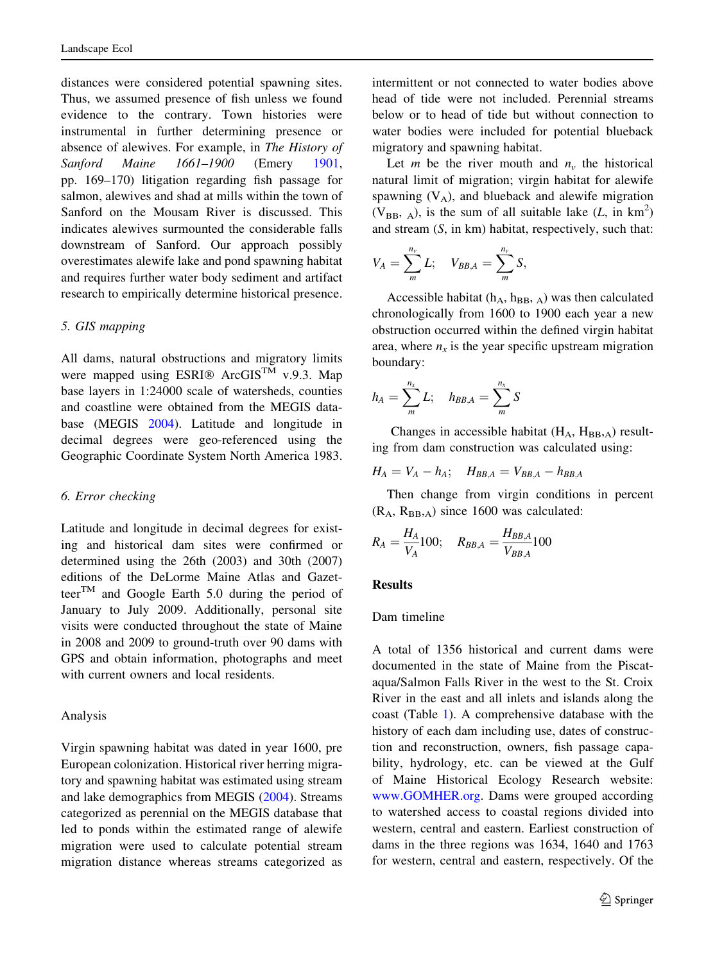distances were considered potential spawning sites. Thus, we assumed presence of fish unless we found evidence to the contrary. Town histories were instrumental in further determining presence or absence of alewives. For example, in The History of Sanford Maine 1661–1900 (Emery [1901,](#page-11-0) pp. 169–170) litigation regarding fish passage for salmon, alewives and shad at mills within the town of Sanford on the Mousam River is discussed. This indicates alewives surmounted the considerable falls downstream of Sanford. Our approach possibly overestimates alewife lake and pond spawning habitat and requires further water body sediment and artifact research to empirically determine historical presence.

#### 5. GIS mapping

All dams, natural obstructions and migratory limits were mapped using ESRI<sup>®</sup> ArcGIS<sup>TM</sup> v.9.3. Map base layers in 1:24000 scale of watersheds, counties and coastline were obtained from the MEGIS database (MEGIS [2004\)](#page-12-0). Latitude and longitude in decimal degrees were geo-referenced using the Geographic Coordinate System North America 1983.

#### 6. Error checking

Latitude and longitude in decimal degrees for existing and historical dam sites were confirmed or determined using the 26th (2003) and 30th (2007) editions of the DeLorme Maine Atlas and Gazetteer<sup>TM</sup> and Google Earth 5.0 during the period of January to July 2009. Additionally, personal site visits were conducted throughout the state of Maine in 2008 and 2009 to ground-truth over 90 dams with GPS and obtain information, photographs and meet with current owners and local residents.

#### Analysis

Virgin spawning habitat was dated in year 1600, pre European colonization. Historical river herring migratory and spawning habitat was estimated using stream and lake demographics from MEGIS [\(2004](#page-12-0)). Streams categorized as perennial on the MEGIS database that led to ponds within the estimated range of alewife migration were used to calculate potential stream migration distance whereas streams categorized as intermittent or not connected to water bodies above head of tide were not included. Perennial streams below or to head of tide but without connection to water bodies were included for potential blueback migratory and spawning habitat.

Let *m* be the river mouth and  $n<sub>v</sub>$  the historical natural limit of migration; virgin habitat for alewife spawning  $(V_A)$ , and blueback and alewife migration (V<sub>BB</sub>, <sub>A</sub>), is the sum of all suitable lake  $(L, \text{ in km}^2)$ and stream (S, in km) habitat, respectively, such that:

$$
V_A = \sum_{m}^{n_v} L; \quad V_{BB,A} = \sum_{m}^{n_v} S,
$$

Accessible habitat ( $h_A$ ,  $h_{BB}$ ,  $_A$ ) was then calculated chronologically from 1600 to 1900 each year a new obstruction occurred within the defined virgin habitat area, where  $n_x$  is the year specific upstream migration boundary:

$$
h_A = \sum_{m}^{n_x} L; \quad h_{BB,A} = \sum_{m}^{n_x} S
$$

Changes in accessible habitat  $(H_A, H_{BB}, A)$  resulting from dam construction was calculated using:

 $H_A = V_A - h_A;$   $H_{BB,A} = V_{BB,A} - h_{BB,A}$ 

Then change from virgin conditions in percent  $(R_A, R_{BB}, A)$  since 1600 was calculated:

$$
R_A = \frac{H_A}{V_A} 100; \quad R_{BB,A} = \frac{H_{BB,A}}{V_{BB,A}} 100
$$

## Results

#### Dam timeline

A total of 1356 historical and current dams were documented in the state of Maine from the Piscataqua/Salmon Falls River in the west to the St. Croix River in the east and all inlets and islands along the coast (Table [1\)](#page-5-0). A comprehensive database with the history of each dam including use, dates of construction and reconstruction, owners, fish passage capability, hydrology, etc. can be viewed at the Gulf of Maine Historical Ecology Research website: [www.GOMHER.org.](http://www.GOMHER.org) Dams were grouped according to watershed access to coastal regions divided into western, central and eastern. Earliest construction of dams in the three regions was 1634, 1640 and 1763 for western, central and eastern, respectively. Of the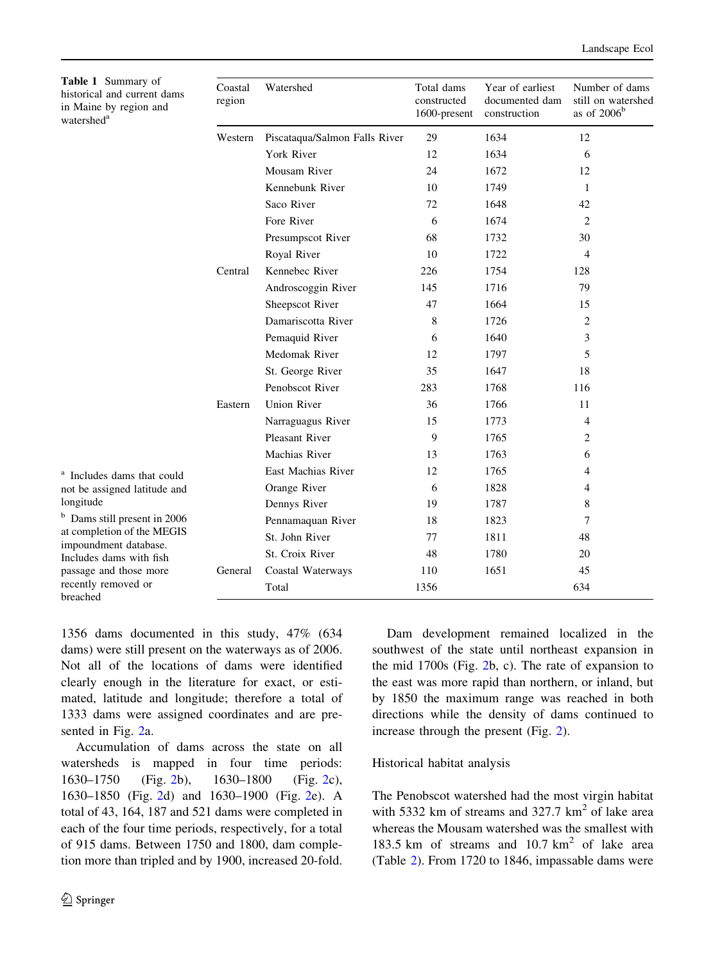<span id="page-5-0"></span>Table 1 Sum historical and in Maine by re watershed<sup>a</sup>

| <b>Table 1</b> Summary of<br>historical and current dams<br>in Maine by region and<br>watershed <sup>a</sup><br><sup>a</sup> Includes dams that could<br>not be assigned latitude and<br>longitude<br><sup>b</sup> Dams still present in 2006<br>at completion of the MEGIS<br>impoundment database.<br>Includes dams with fish<br>passage and those more<br>recently removed or<br>breached | Coastal<br>region | Watershed                     | Total dams<br>constructed<br>1600-present | Year of earliest<br>documented dam<br>construction | Number of dams<br>still on watershed<br>as of $2006b$ |
|----------------------------------------------------------------------------------------------------------------------------------------------------------------------------------------------------------------------------------------------------------------------------------------------------------------------------------------------------------------------------------------------|-------------------|-------------------------------|-------------------------------------------|----------------------------------------------------|-------------------------------------------------------|
|                                                                                                                                                                                                                                                                                                                                                                                              | Western           | Piscataqua/Salmon Falls River | 29                                        | 1634                                               | 12                                                    |
|                                                                                                                                                                                                                                                                                                                                                                                              |                   | York River                    | 12                                        | 1634                                               | 6                                                     |
|                                                                                                                                                                                                                                                                                                                                                                                              |                   | Mousam River                  | 24                                        | 1672                                               | 12                                                    |
|                                                                                                                                                                                                                                                                                                                                                                                              |                   | Kennebunk River               | 10                                        | 1749                                               | $\mathbf{1}$                                          |
|                                                                                                                                                                                                                                                                                                                                                                                              |                   | Saco River                    | 72                                        | 1648                                               | 42                                                    |
|                                                                                                                                                                                                                                                                                                                                                                                              |                   | Fore River                    | 6                                         | 1674                                               | $\overline{c}$                                        |
|                                                                                                                                                                                                                                                                                                                                                                                              |                   | Presumpscot River             | 68                                        | 1732                                               | 30                                                    |
|                                                                                                                                                                                                                                                                                                                                                                                              |                   | Royal River                   | 10                                        | 1722                                               | 4                                                     |
|                                                                                                                                                                                                                                                                                                                                                                                              | Central           | Kennebec River                | 226                                       | 1754                                               | 128                                                   |
|                                                                                                                                                                                                                                                                                                                                                                                              |                   | Androscoggin River            | 145                                       | 1716                                               | 79                                                    |
|                                                                                                                                                                                                                                                                                                                                                                                              |                   | Sheepscot River               | 47                                        | 1664                                               | 15                                                    |
|                                                                                                                                                                                                                                                                                                                                                                                              |                   | Damariscotta River            | 8                                         | 1726                                               | 2                                                     |
|                                                                                                                                                                                                                                                                                                                                                                                              |                   | Pemaquid River                | 6                                         | 1640                                               | 3                                                     |
|                                                                                                                                                                                                                                                                                                                                                                                              |                   | Medomak River                 | 12                                        | 1797                                               | 5                                                     |
|                                                                                                                                                                                                                                                                                                                                                                                              |                   | St. George River              | 35                                        | 1647                                               | 18                                                    |
|                                                                                                                                                                                                                                                                                                                                                                                              |                   | Penobscot River               | 283                                       | 1768                                               | 116                                                   |
|                                                                                                                                                                                                                                                                                                                                                                                              | Eastern           | <b>Union River</b>            | 36                                        | 1766                                               | 11                                                    |
|                                                                                                                                                                                                                                                                                                                                                                                              |                   | Narraguagus River             | 15                                        | 1773                                               | 4                                                     |
|                                                                                                                                                                                                                                                                                                                                                                                              |                   | <b>Pleasant River</b>         | 9                                         | 1765                                               | 2                                                     |
|                                                                                                                                                                                                                                                                                                                                                                                              |                   | Machias River                 | 13                                        | 1763                                               | 6                                                     |
|                                                                                                                                                                                                                                                                                                                                                                                              |                   | East Machias River            | 12                                        | 1765                                               | 4                                                     |
|                                                                                                                                                                                                                                                                                                                                                                                              |                   | Orange River                  | 6                                         | 1828                                               | 4                                                     |
|                                                                                                                                                                                                                                                                                                                                                                                              |                   | Dennys River                  | 19                                        | 1787                                               | 8                                                     |
|                                                                                                                                                                                                                                                                                                                                                                                              |                   | Pennamaquan River             | 18                                        | 1823                                               | 7                                                     |
|                                                                                                                                                                                                                                                                                                                                                                                              |                   | St. John River                | 77                                        | 1811                                               | 48                                                    |
|                                                                                                                                                                                                                                                                                                                                                                                              |                   | St. Croix River               | 48                                        | 1780                                               | 20                                                    |
|                                                                                                                                                                                                                                                                                                                                                                                              | General           | Coastal Waterways             | 110                                       | 1651                                               | 45                                                    |
|                                                                                                                                                                                                                                                                                                                                                                                              |                   | Total                         | 1356                                      |                                                    | 634                                                   |

1356 dams documented in this study, 47% (634 dams) were still present on the waterways as of 2006. Not all of the locations of dams were identified clearly enough in the literature for exact, or estimated, latitude and longitude; therefore a total of 1333 dams were assigned coordinates and are presented in Fig. [2a](#page-6-0).

Accumulation of dams across the state on all watersheds is mapped in four time periods: 1630–1750 (Fig. [2b](#page-6-0)), 1630–1800 (Fig. [2c](#page-6-0)), 1630–1850 (Fig. [2](#page-6-0)d) and 1630–1900 (Fig. [2e](#page-6-0)). A total of 43, 164, 187 and 521 dams were completed in each of the four time periods, respectively, for a total of 915 dams. Between 1750 and 1800, dam completion more than tripled and by 1900, increased 20-fold.

Dam development remained localized in the southwest of the state until northeast expansion in the mid 1700s (Fig. [2](#page-6-0)b, c). The rate of expansion to the east was more rapid than northern, or inland, but by 1850 the maximum range was reached in both directions while the density of dams continued to increase through the present (Fig. [2\)](#page-6-0).

# Historical habitat analysis

The Penobscot watershed had the most virgin habitat with 5332 km of streams and 327.7  $km<sup>2</sup>$  of lake area whereas the Mousam watershed was the smallest with 183.5 km of streams and  $10.7 \text{ km}^2$  of lake area (Table [2](#page-7-0)). From 1720 to 1846, impassable dams were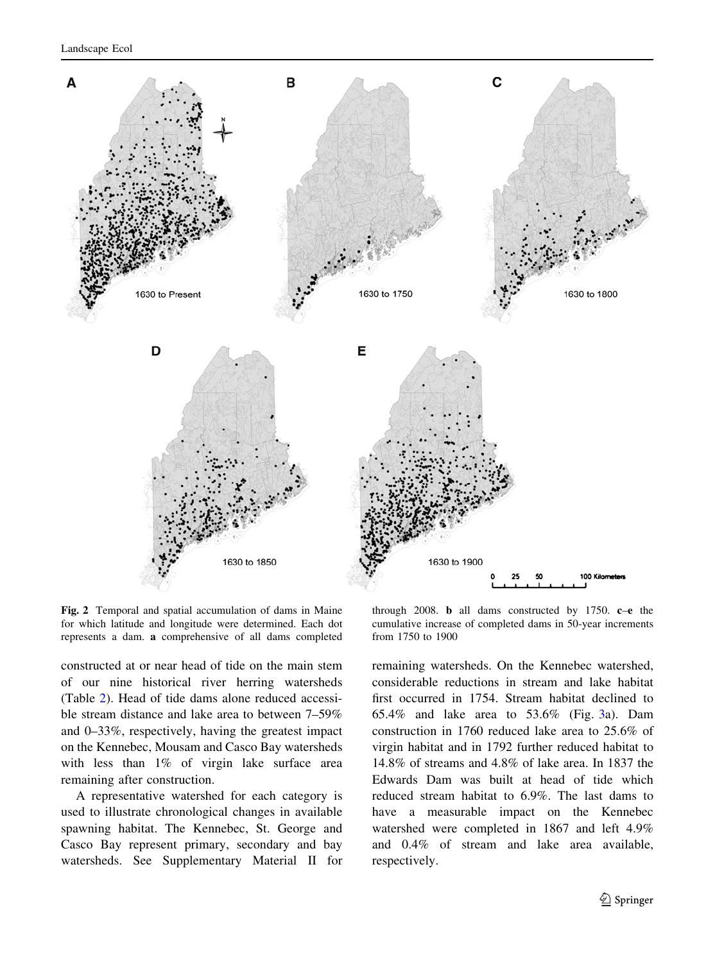<span id="page-6-0"></span>

Fig. 2 Temporal and spatial accumulation of dams in Maine for which latitude and longitude were determined. Each dot represents a dam. a comprehensive of all dams completed

through 2008. b all dams constructed by 1750. c–e the cumulative increase of completed dams in 50-year increments from 1750 to 1900

constructed at or near head of tide on the main stem of our nine historical river herring watersheds (Table [2](#page-7-0)). Head of tide dams alone reduced accessible stream distance and lake area to between 7–59% and 0–33%, respectively, having the greatest impact on the Kennebec, Mousam and Casco Bay watersheds with less than 1% of virgin lake surface area remaining after construction.

A representative watershed for each category is used to illustrate chronological changes in available spawning habitat. The Kennebec, St. George and Casco Bay represent primary, secondary and bay watersheds. See Supplementary Material II for remaining watersheds. On the Kennebec watershed, considerable reductions in stream and lake habitat first occurred in 1754. Stream habitat declined to 65.4% and lake area to 53.6% (Fig. [3](#page-8-0)a). Dam construction in 1760 reduced lake area to 25.6% of virgin habitat and in 1792 further reduced habitat to 14.8% of streams and 4.8% of lake area. In 1837 the Edwards Dam was built at head of tide which reduced stream habitat to 6.9%. The last dams to have a measurable impact on the Kennebec watershed were completed in 1867 and left 4.9% and 0.4% of stream and lake area available, respectively.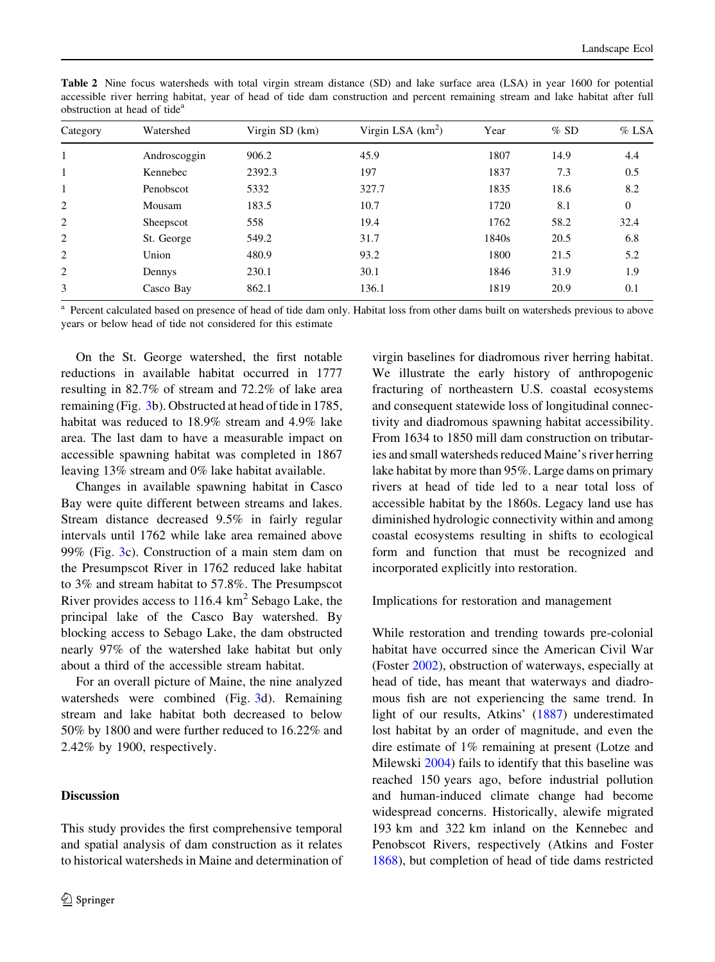| Category | Watershed    | Virgin $SD$ (km) | Virgin LSA $(km^2)$ | Year  | %SD  | $%$ LSA  |
|----------|--------------|------------------|---------------------|-------|------|----------|
| 1        | Androscoggin | 906.2            | 45.9                | 1807  | 14.9 | 4.4      |
|          | Kennebec     | 2392.3           | 197                 | 1837  | 7.3  | 0.5      |
| 1        | Penobscot    | 5332             | 327.7               | 1835  | 18.6 | 8.2      |
| 2        | Mousam       | 183.5            | 10.7                | 1720  | 8.1  | $\theta$ |
| 2        | Sheepscot    | 558              | 19.4                | 1762  | 58.2 | 32.4     |
| 2        | St. George   | 549.2            | 31.7                | 1840s | 20.5 | 6.8      |
| 2        | Union        | 480.9            | 93.2                | 1800  | 21.5 | 5.2      |
| 2        | Dennys       | 230.1            | 30.1                | 1846  | 31.9 | 1.9      |
| 3        | Casco Bay    | 862.1            | 136.1               | 1819  | 20.9 | 0.1      |

<span id="page-7-0"></span>Table 2 Nine focus watersheds with total virgin stream distance (SD) and lake surface area (LSA) in year 1600 for potential accessible river herring habitat, year of head of tide dam construction and percent remaining stream and lake habitat after full obstruction at head of tide<sup>a</sup>

Percent calculated based on presence of head of tide dam only. Habitat loss from other dams built on watersheds previous to above years or below head of tide not considered for this estimate

On the St. George watershed, the first notable reductions in available habitat occurred in 1777 resulting in 82.7% of stream and 72.2% of lake area remaining (Fig. [3](#page-8-0)b). Obstructed at head of tide in 1785, habitat was reduced to 18.9% stream and 4.9% lake area. The last dam to have a measurable impact on accessible spawning habitat was completed in 1867 leaving 13% stream and 0% lake habitat available.

Changes in available spawning habitat in Casco Bay were quite different between streams and lakes. Stream distance decreased 9.5% in fairly regular intervals until 1762 while lake area remained above 99% (Fig. [3](#page-8-0)c). Construction of a main stem dam on the Presumpscot River in 1762 reduced lake habitat to 3% and stream habitat to 57.8%. The Presumpscot River provides access to  $116.4 \text{ km}^2$  Sebago Lake, the principal lake of the Casco Bay watershed. By blocking access to Sebago Lake, the dam obstructed nearly 97% of the watershed lake habitat but only about a third of the accessible stream habitat.

For an overall picture of Maine, the nine analyzed watersheds were combined (Fig. [3d](#page-8-0)). Remaining stream and lake habitat both decreased to below 50% by 1800 and were further reduced to 16.22% and 2.42% by 1900, respectively.

# Discussion

This study provides the first comprehensive temporal and spatial analysis of dam construction as it relates to historical watersheds in Maine and determination of virgin baselines for diadromous river herring habitat. We illustrate the early history of anthropogenic fracturing of northeastern U.S. coastal ecosystems and consequent statewide loss of longitudinal connectivity and diadromous spawning habitat accessibility. From 1634 to 1850 mill dam construction on tributaries and small watersheds reduced Maine's river herring lake habitat by more than 95%. Large dams on primary rivers at head of tide led to a near total loss of accessible habitat by the 1860s. Legacy land use has diminished hydrologic connectivity within and among coastal ecosystems resulting in shifts to ecological form and function that must be recognized and incorporated explicitly into restoration.

Implications for restoration and management

While restoration and trending towards pre-colonial habitat have occurred since the American Civil War (Foster [2002\)](#page-11-0), obstruction of waterways, especially at head of tide, has meant that waterways and diadromous fish are not experiencing the same trend. In light of our results, Atkins' ([1887\)](#page-11-0) underestimated lost habitat by an order of magnitude, and even the dire estimate of 1% remaining at present (Lotze and Milewski [2004](#page-12-0)) fails to identify that this baseline was reached 150 years ago, before industrial pollution and human-induced climate change had become widespread concerns. Historically, alewife migrated 193 km and 322 km inland on the Kennebec and Penobscot Rivers, respectively (Atkins and Foster [1868\)](#page-11-0), but completion of head of tide dams restricted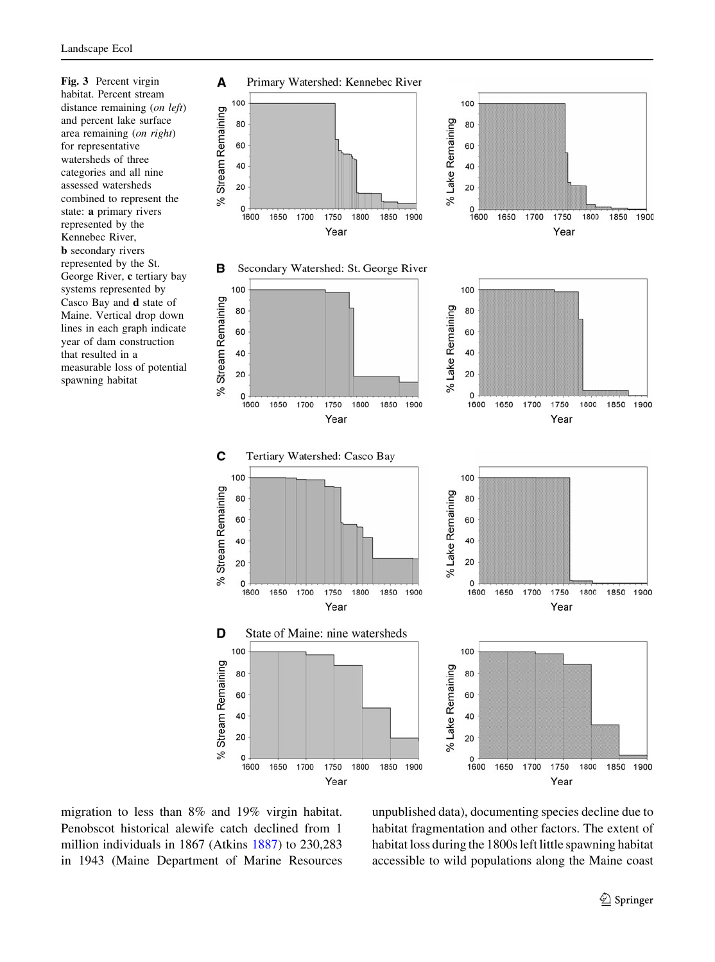<span id="page-8-0"></span>Fig. 3 Percent virgin habitat. Percent stream distance remaining (on left) and percent lake surface area remaining (on right) for representative watersheds of three categories and all nine assessed watersheds combined to represent the state: a primary rivers represented by the Kennebec River, **b** secondary rivers represented by the St. George River, c tertiary bay systems represented by Casco Bay and d state of Maine. Vertical drop down lines in each graph indicate year of dam construction that resulted in a measurable loss of potential spawning habitat



migration to less than 8% and 19% virgin habitat. Penobscot historical alewife catch declined from 1 million individuals in 1867 (Atkins [1887\)](#page-11-0) to 230,283 in 1943 (Maine Department of Marine Resources unpublished data), documenting species decline due to habitat fragmentation and other factors. The extent of habitat loss during the 1800s left little spawning habitat accessible to wild populations along the Maine coast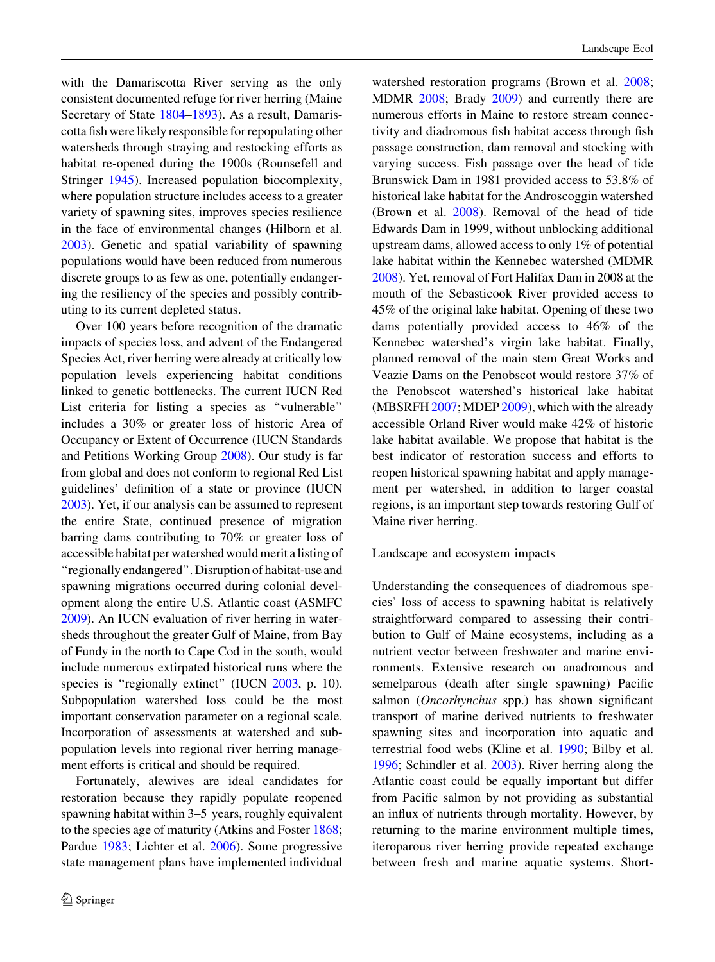with the Damariscotta River serving as the only consistent documented refuge for river herring (Maine Secretary of State [1804–1893\)](#page-12-0). As a result, Damariscotta fish were likely responsible for repopulating other watersheds through straying and restocking efforts as habitat re-opened during the 1900s (Rounsefell and Stringer [1945\)](#page-12-0). Increased population biocomplexity, where population structure includes access to a greater variety of spawning sites, improves species resilience in the face of environmental changes (Hilborn et al. [2003\)](#page-11-0). Genetic and spatial variability of spawning populations would have been reduced from numerous discrete groups to as few as one, potentially endangering the resiliency of the species and possibly contributing to its current depleted status.

Over 100 years before recognition of the dramatic impacts of species loss, and advent of the Endangered Species Act, river herring were already at critically low population levels experiencing habitat conditions linked to genetic bottlenecks. The current IUCN Red List criteria for listing a species as ''vulnerable'' includes a 30% or greater loss of historic Area of Occupancy or Extent of Occurrence (IUCN Standards and Petitions Working Group [2008](#page-11-0)). Our study is far from global and does not conform to regional Red List guidelines' definition of a state or province (IUCN [2003\)](#page-11-0). Yet, if our analysis can be assumed to represent the entire State, continued presence of migration barring dams contributing to 70% or greater loss of accessible habitat per watershed would merit a listing of ''regionally endangered''. Disruption of habitat-use and spawning migrations occurred during colonial development along the entire U.S. Atlantic coast (ASMFC [2009\)](#page-11-0). An IUCN evaluation of river herring in watersheds throughout the greater Gulf of Maine, from Bay of Fundy in the north to Cape Cod in the south, would include numerous extirpated historical runs where the species is "regionally extinct" (IUCN [2003](#page-11-0), p. 10). Subpopulation watershed loss could be the most important conservation parameter on a regional scale. Incorporation of assessments at watershed and subpopulation levels into regional river herring management efforts is critical and should be required.

Fortunately, alewives are ideal candidates for restoration because they rapidly populate reopened spawning habitat within 3–5 years, roughly equivalent to the species age of maturity (Atkins and Foster [1868](#page-11-0); Pardue [1983;](#page-12-0) Lichter et al. [2006\)](#page-12-0). Some progressive state management plans have implemented individual watershed restoration programs (Brown et al. [2008](#page-11-0); MDMR [2008;](#page-12-0) Brady [2009\)](#page-11-0) and currently there are numerous efforts in Maine to restore stream connectivity and diadromous fish habitat access through fish passage construction, dam removal and stocking with varying success. Fish passage over the head of tide Brunswick Dam in 1981 provided access to 53.8% of historical lake habitat for the Androscoggin watershed (Brown et al. [2008\)](#page-11-0). Removal of the head of tide Edwards Dam in 1999, without unblocking additional upstream dams, allowed access to only 1% of potential lake habitat within the Kennebec watershed (MDMR [2008\)](#page-12-0). Yet, removal of Fort Halifax Dam in 2008 at the mouth of the Sebasticook River provided access to 45% of the original lake habitat. Opening of these two dams potentially provided access to 46% of the Kennebec watershed's virgin lake habitat. Finally, planned removal of the main stem Great Works and Veazie Dams on the Penobscot would restore 37% of the Penobscot watershed's historical lake habitat (MBSRFH [2007](#page-12-0); MDEP [2009\)](#page-12-0), which with the already accessible Orland River would make 42% of historic lake habitat available. We propose that habitat is the best indicator of restoration success and efforts to reopen historical spawning habitat and apply management per watershed, in addition to larger coastal regions, is an important step towards restoring Gulf of Maine river herring.

#### Landscape and ecosystem impacts

Understanding the consequences of diadromous species' loss of access to spawning habitat is relatively straightforward compared to assessing their contribution to Gulf of Maine ecosystems, including as a nutrient vector between freshwater and marine environments. Extensive research on anadromous and semelparous (death after single spawning) Pacific salmon (Oncorhynchus spp.) has shown significant transport of marine derived nutrients to freshwater spawning sites and incorporation into aquatic and terrestrial food webs (Kline et al. [1990](#page-11-0); Bilby et al. [1996;](#page-11-0) Schindler et al. [2003\)](#page-12-0). River herring along the Atlantic coast could be equally important but differ from Pacific salmon by not providing as substantial an influx of nutrients through mortality. However, by returning to the marine environment multiple times, iteroparous river herring provide repeated exchange between fresh and marine aquatic systems. Short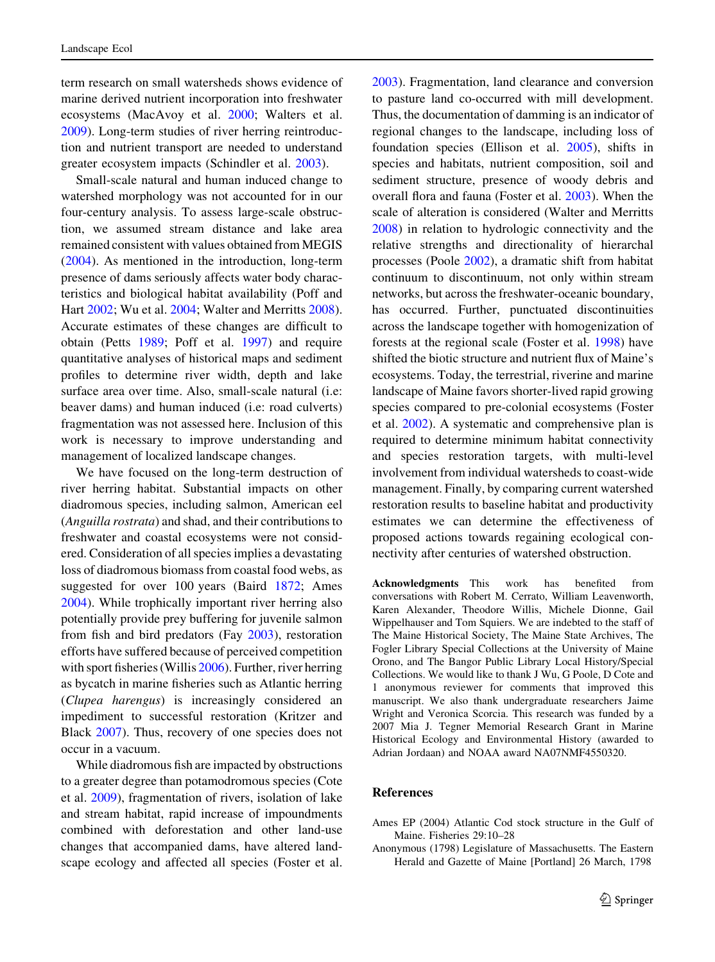<span id="page-10-0"></span>term research on small watersheds shows evidence of marine derived nutrient incorporation into freshwater ecosystems (MacAvoy et al. [2000;](#page-12-0) Walters et al. [2009\)](#page-12-0). Long-term studies of river herring reintroduction and nutrient transport are needed to understand greater ecosystem impacts (Schindler et al. [2003](#page-12-0)).

Small-scale natural and human induced change to watershed morphology was not accounted for in our four-century analysis. To assess large-scale obstruction, we assumed stream distance and lake area remained consistent with values obtained from MEGIS [\(2004](#page-12-0)). As mentioned in the introduction, long-term presence of dams seriously affects water body characteristics and biological habitat availability (Poff and Hart [2002;](#page-12-0) Wu et al. [2004](#page-12-0); Walter and Merritts [2008](#page-12-0)). Accurate estimates of these changes are difficult to obtain (Petts [1989;](#page-12-0) Poff et al. [1997\)](#page-12-0) and require quantitative analyses of historical maps and sediment profiles to determine river width, depth and lake surface area over time. Also, small-scale natural (i.e: beaver dams) and human induced (i.e: road culverts) fragmentation was not assessed here. Inclusion of this work is necessary to improve understanding and management of localized landscape changes.

We have focused on the long-term destruction of river herring habitat. Substantial impacts on other diadromous species, including salmon, American eel (Anguilla rostrata) and shad, and their contributions to freshwater and coastal ecosystems were not considered. Consideration of all species implies a devastating loss of diadromous biomass from coastal food webs, as suggested for over 100 years (Baird [1872](#page-11-0); Ames 2004). While trophically important river herring also potentially provide prey buffering for juvenile salmon from fish and bird predators (Fay [2003\)](#page-11-0), restoration efforts have suffered because of perceived competition with sport fisheries (Willis [2006\)](#page-12-0). Further, river herring as bycatch in marine fisheries such as Atlantic herring (Clupea harengus) is increasingly considered an impediment to successful restoration (Kritzer and Black [2007](#page-12-0)). Thus, recovery of one species does not occur in a vacuum.

While diadromous fish are impacted by obstructions to a greater degree than potamodromous species (Cote et al. [2009\)](#page-11-0), fragmentation of rivers, isolation of lake and stream habitat, rapid increase of impoundments combined with deforestation and other land-use changes that accompanied dams, have altered landscape ecology and affected all species (Foster et al.

[2003\)](#page-11-0). Fragmentation, land clearance and conversion to pasture land co-occurred with mill development. Thus, the documentation of damming is an indicator of regional changes to the landscape, including loss of foundation species (Ellison et al. [2005\)](#page-11-0), shifts in species and habitats, nutrient composition, soil and sediment structure, presence of woody debris and overall flora and fauna (Foster et al. [2003\)](#page-11-0). When the scale of alteration is considered (Walter and Merritts [2008\)](#page-12-0) in relation to hydrologic connectivity and the relative strengths and directionality of hierarchal processes (Poole [2002](#page-12-0)), a dramatic shift from habitat continuum to discontinuum, not only within stream networks, but across the freshwater-oceanic boundary, has occurred. Further, punctuated discontinuities across the landscape together with homogenization of forests at the regional scale (Foster et al. [1998\)](#page-11-0) have shifted the biotic structure and nutrient flux of Maine's ecosystems. Today, the terrestrial, riverine and marine landscape of Maine favors shorter-lived rapid growing species compared to pre-colonial ecosystems (Foster et al. [2002\)](#page-11-0). A systematic and comprehensive plan is required to determine minimum habitat connectivity and species restoration targets, with multi-level involvement from individual watersheds to coast-wide management. Finally, by comparing current watershed restoration results to baseline habitat and productivity estimates we can determine the effectiveness of proposed actions towards regaining ecological connectivity after centuries of watershed obstruction.

Acknowledgments This work has benefited from conversations with Robert M. Cerrato, William Leavenworth, Karen Alexander, Theodore Willis, Michele Dionne, Gail Wippelhauser and Tom Squiers. We are indebted to the staff of The Maine Historical Society, The Maine State Archives, The Fogler Library Special Collections at the University of Maine Orono, and The Bangor Public Library Local History/Special Collections. We would like to thank J Wu, G Poole, D Cote and 1 anonymous reviewer for comments that improved this manuscript. We also thank undergraduate researchers Jaime Wright and Veronica Scorcia. This research was funded by a 2007 Mia J. Tegner Memorial Research Grant in Marine Historical Ecology and Environmental History (awarded to Adrian Jordaan) and NOAA award NA07NMF4550320.

#### References

Ames EP (2004) Atlantic Cod stock structure in the Gulf of Maine. Fisheries 29:10–28

Anonymous (1798) Legislature of Massachusetts. The Eastern Herald and Gazette of Maine [Portland] 26 March, 1798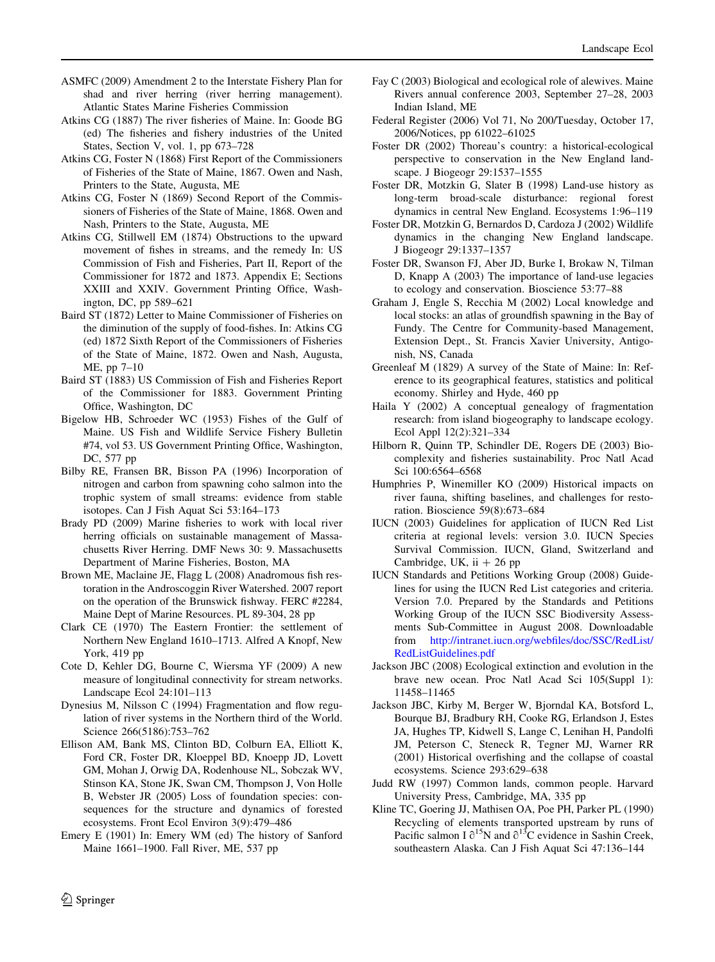- <span id="page-11-0"></span>ASMFC (2009) Amendment 2 to the Interstate Fishery Plan for shad and river herring (river herring management). Atlantic States Marine Fisheries Commission
- Atkins CG (1887) The river fisheries of Maine. In: Goode BG (ed) The fisheries and fishery industries of the United States, Section V, vol. 1, pp 673–728
- Atkins CG, Foster N (1868) First Report of the Commissioners of Fisheries of the State of Maine, 1867. Owen and Nash, Printers to the State, Augusta, ME
- Atkins CG, Foster N (1869) Second Report of the Commissioners of Fisheries of the State of Maine, 1868. Owen and Nash, Printers to the State, Augusta, ME
- Atkins CG, Stillwell EM (1874) Obstructions to the upward movement of fishes in streams, and the remedy In: US Commission of Fish and Fisheries, Part II, Report of the Commissioner for 1872 and 1873. Appendix E; Sections XXIII and XXIV. Government Printing Office, Washington, DC, pp 589–621
- Baird ST (1872) Letter to Maine Commissioner of Fisheries on the diminution of the supply of food-fishes. In: Atkins CG (ed) 1872 Sixth Report of the Commissioners of Fisheries of the State of Maine, 1872. Owen and Nash, Augusta, ME, pp 7–10
- Baird ST (1883) US Commission of Fish and Fisheries Report of the Commissioner for 1883. Government Printing Office, Washington, DC
- Bigelow HB, Schroeder WC (1953) Fishes of the Gulf of Maine. US Fish and Wildlife Service Fishery Bulletin #74, vol 53. US Government Printing Office, Washington, DC, 577 pp
- Bilby RE, Fransen BR, Bisson PA (1996) Incorporation of nitrogen and carbon from spawning coho salmon into the trophic system of small streams: evidence from stable isotopes. Can J Fish Aquat Sci 53:164–173
- Brady PD (2009) Marine fisheries to work with local river herring officials on sustainable management of Massachusetts River Herring. DMF News 30: 9. Massachusetts Department of Marine Fisheries, Boston, MA
- Brown ME, Maclaine JE, Flagg L (2008) Anadromous fish restoration in the Androscoggin River Watershed. 2007 report on the operation of the Brunswick fishway. FERC #2284, Maine Dept of Marine Resources. PL 89-304, 28 pp
- Clark CE (1970) The Eastern Frontier: the settlement of Northern New England 1610–1713. Alfred A Knopf, New York, 419 pp
- Cote D, Kehler DG, Bourne C, Wiersma YF (2009) A new measure of longitudinal connectivity for stream networks. Landscape Ecol 24:101–113
- Dynesius M, Nilsson C (1994) Fragmentation and flow regulation of river systems in the Northern third of the World. Science 266(5186):753–762
- Ellison AM, Bank MS, Clinton BD, Colburn EA, Elliott K, Ford CR, Foster DR, Kloeppel BD, Knoepp JD, Lovett GM, Mohan J, Orwig DA, Rodenhouse NL, Sobczak WV, Stinson KA, Stone JK, Swan CM, Thompson J, Von Holle B, Webster JR (2005) Loss of foundation species: consequences for the structure and dynamics of forested ecosystems. Front Ecol Environ 3(9):479–486
- Emery E (1901) In: Emery WM (ed) The history of Sanford Maine 1661–1900. Fall River, ME, 537 pp
- Fay C (2003) Biological and ecological role of alewives. Maine Rivers annual conference 2003, September 27–28, 2003 Indian Island, ME
- Federal Register (2006) Vol 71, No 200/Tuesday, October 17, 2006/Notices, pp 61022–61025
- Foster DR (2002) Thoreau's country: a historical-ecological perspective to conservation in the New England landscape. J Biogeogr 29:1537–1555
- Foster DR, Motzkin G, Slater B (1998) Land-use history as long-term broad-scale disturbance: regional forest dynamics in central New England. Ecosystems 1:96–119
- Foster DR, Motzkin G, Bernardos D, Cardoza J (2002) Wildlife dynamics in the changing New England landscape. J Biogeogr 29:1337–1357
- Foster DR, Swanson FJ, Aber JD, Burke I, Brokaw N, Tilman D, Knapp A (2003) The importance of land-use legacies to ecology and conservation. Bioscience 53:77–88
- Graham J, Engle S, Recchia M (2002) Local knowledge and local stocks: an atlas of groundfish spawning in the Bay of Fundy. The Centre for Community-based Management, Extension Dept., St. Francis Xavier University, Antigonish, NS, Canada
- Greenleaf M (1829) A survey of the State of Maine: In: Reference to its geographical features, statistics and political economy. Shirley and Hyde, 460 pp
- Haila Y (2002) A conceptual genealogy of fragmentation research: from island biogeography to landscape ecology. Ecol Appl 12(2):321–334
- Hilborn R, Quinn TP, Schindler DE, Rogers DE (2003) Biocomplexity and fisheries sustainability. Proc Natl Acad Sci 100:6564–6568
- Humphries P, Winemiller KO (2009) Historical impacts on river fauna, shifting baselines, and challenges for restoration. Bioscience 59(8):673–684
- IUCN (2003) Guidelines for application of IUCN Red List criteria at regional levels: version 3.0. IUCN Species Survival Commission. IUCN, Gland, Switzerland and Cambridge, UK, ii  $+26$  pp
- IUCN Standards and Petitions Working Group (2008) Guidelines for using the IUCN Red List categories and criteria. Version 7.0. Prepared by the Standards and Petitions Working Group of the IUCN SSC Biodiversity Assessments Sub-Committee in August 2008. Downloadable from [http://intranet.iucn.org/webfiles/doc/SSC/RedList/](http://intranet.iucn.org/webfiles/doc/SSC/RedList/RedListGuidelines.pdf) [RedListGuidelines.pdf](http://intranet.iucn.org/webfiles/doc/SSC/RedList/RedListGuidelines.pdf)
- Jackson JBC (2008) Ecological extinction and evolution in the brave new ocean. Proc Natl Acad Sci 105(Suppl 1): 11458–11465
- Jackson JBC, Kirby M, Berger W, Bjorndal KA, Botsford L, Bourque BJ, Bradbury RH, Cooke RG, Erlandson J, Estes JA, Hughes TP, Kidwell S, Lange C, Lenihan H, Pandolfi JM, Peterson C, Steneck R, Tegner MJ, Warner RR (2001) Historical overfishing and the collapse of coastal ecosystems. Science 293:629–638
- Judd RW (1997) Common lands, common people. Harvard University Press, Cambridge, MA, 335 pp
- Kline TC, Goering JJ, Mathisen OA, Poe PH, Parker PL (1990) Recycling of elements transported upstream by runs of Pacific salmon I  $\partial^{15}N$  and  $\partial^{13}C$  evidence in Sashin Creek, southeastern Alaska. Can J Fish Aquat Sci 47:136–144